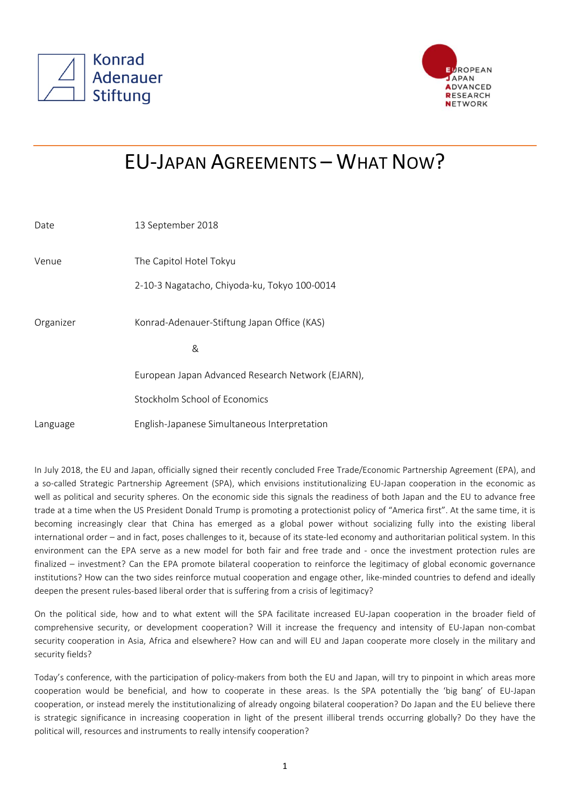



## EU-JAPAN AGREEMENTS – WHAT NOW?

| Date      | 13 September 2018                                 |
|-----------|---------------------------------------------------|
| Venue     | The Capitol Hotel Tokyu                           |
|           | 2-10-3 Nagatacho, Chiyoda-ku, Tokyo 100-0014      |
| Organizer | Konrad-Adenauer-Stiftung Japan Office (KAS)       |
|           | &                                                 |
|           | European Japan Advanced Research Network (EJARN), |
|           | Stockholm School of Economics                     |
| Language  | English-Japanese Simultaneous Interpretation      |

In July 2018, the EU and Japan, officially signed their recently concluded Free Trade/Economic Partnership Agreement (EPA), and a so-called Strategic Partnership Agreement (SPA), which envisions institutionalizing EU-Japan cooperation in the economic as well as political and security spheres. On the economic side this signals the readiness of both Japan and the EU to advance free trade at a time when the US President Donald Trump is promoting a protectionist policy of "America first". At the same time, it is becoming increasingly clear that China has emerged as a global power without socializing fully into the existing liberal international order – and in fact, poses challenges to it, because of its state-led economy and authoritarian political system. In this environment can the EPA serve as a new model for both fair and free trade and - once the investment protection rules are finalized – investment? Can the EPA promote bilateral cooperation to reinforce the legitimacy of global economic governance institutions? How can the two sides reinforce mutual cooperation and engage other, like-minded countries to defend and ideally deepen the present rules-based liberal order that is suffering from a crisis of legitimacy?

On the political side, how and to what extent will the SPA facilitate increased EU-Japan cooperation in the broader field of comprehensive security, or development cooperation? Will it increase the frequency and intensity of EU-Japan non-combat security cooperation in Asia, Africa and elsewhere? How can and will EU and Japan cooperate more closely in the military and security fields?

Today's conference, with the participation of policy-makers from both the EU and Japan, will try to pinpoint in which areas more cooperation would be beneficial, and how to cooperate in these areas. Is the SPA potentially the 'big bang' of EU-Japan cooperation, or instead merely the institutionalizing of already ongoing bilateral cooperation? Do Japan and the EU believe there is strategic significance in increasing cooperation in light of the present illiberal trends occurring globally? Do they have the political will, resources and instruments to really intensify cooperation?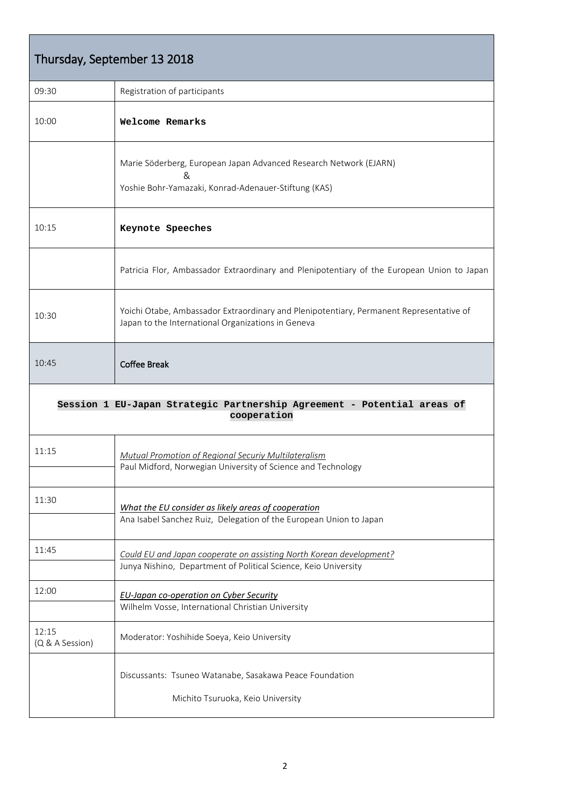| Thursday, September 13 2018                                                            |                                                                                                                                               |  |
|----------------------------------------------------------------------------------------|-----------------------------------------------------------------------------------------------------------------------------------------------|--|
| 09:30                                                                                  | Registration of participants                                                                                                                  |  |
| 10:00                                                                                  | Welcome Remarks                                                                                                                               |  |
|                                                                                        | Marie Söderberg, European Japan Advanced Research Network (EJARN)<br>&<br>Yoshie Bohr-Yamazaki, Konrad-Adenauer-Stiftung (KAS)                |  |
| 10:15                                                                                  | Keynote Speeches                                                                                                                              |  |
|                                                                                        | Patricia Flor, Ambassador Extraordinary and Plenipotentiary of the European Union to Japan                                                    |  |
| 10:30                                                                                  | Yoichi Otabe, Ambassador Extraordinary and Plenipotentiary, Permanent Representative of<br>Japan to the International Organizations in Geneva |  |
| 10:45                                                                                  | <b>Coffee Break</b>                                                                                                                           |  |
| Session 1 EU-Japan Strategic Partnership Agreement - Potential areas of<br>cooperation |                                                                                                                                               |  |
| 11:15                                                                                  | Mutual Promotion of Regional Securiy Multilateralism<br>Paul Midford, Norwegian University of Science and Technology                          |  |
| 11:30                                                                                  | What the EU consider as likely areas of cooperation<br>Ana Isabel Sanchez Ruiz, Delegation of the European Union to Japan                     |  |
| 11:45                                                                                  | Could EU and Japan cooperate on assisting North Korean development?<br>Junya Nishino, Department of Political Science, Keio University        |  |
| 12:00                                                                                  | <b>EU-Japan co-operation on Cyber Security</b><br>Wilhelm Vosse, International Christian University                                           |  |
| 12:15<br>(Q & A Session)                                                               | Moderator: Yoshihide Soeya, Keio University                                                                                                   |  |
|                                                                                        | Discussants: Tsuneo Watanabe, Sasakawa Peace Foundation<br>Michito Tsuruoka, Keio University                                                  |  |